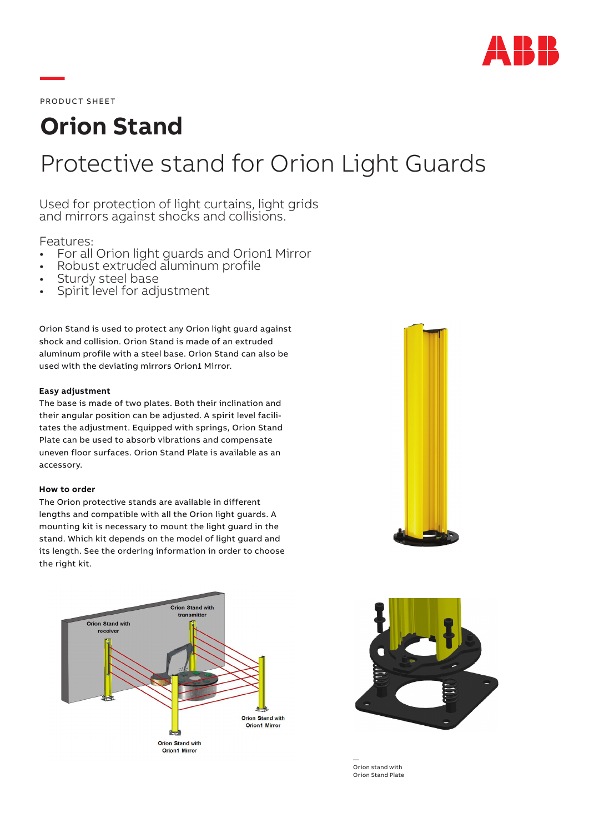

PRODUCT SHEET

**—**

# **Orion Stand**

# Protective stand for Orion Light Guards

Used for protection of light curtains, light grids and mirrors against shocks and collisions.

## Features:

- For all Orion light guards and Orion1 Mirror<br>• Robust extruded aluminum profile<br>• Sturdy steel base<br>• Spirit level for adjustment
- 
- 
- 

Orion Stand is used to protect any Orion light guard against shock and collision. Orion Stand is made of an extruded aluminum profile with a steel base. Orion Stand can also be used with the deviating mirrors Orion1 Mirror.

#### **Easy adjustment**

The base is made of two plates. Both their inclination and their angular position can be adjusted. A spirit level facilitates the adjustment. Equipped with springs, Orion Stand Plate can be used to absorb vibrations and compensate uneven floor surfaces. Orion Stand Plate is available as an accessory.

#### **How to order**

The Orion protective stands are available in different lengths and compatible with all the Orion light guards. A mounting kit is necessary to mount the light guard in the stand. Which kit depends on the model of light guard and its length. See the ordering information in order to choose the right kit.







— Orion stand with Orion Stand Plate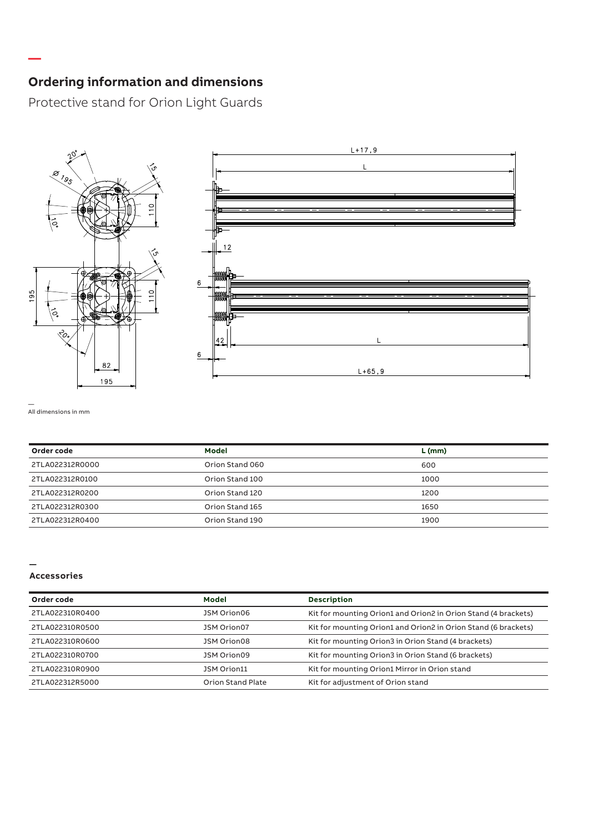# **Ordering information and dimensions**

Protective stand for Orion Light Guards



— All dimensions in mm

**—**

| Order code      | Model           | $L$ (mm) |
|-----------------|-----------------|----------|
| 2TLA022312R0000 | Orion Stand 060 | 600      |
| 2TLA022312R0100 | Orion Stand 100 | 1000     |
| 2TLA022312R0200 | Orion Stand 120 | 1200     |
| 2TLA022312R0300 | Orion Stand 165 | 1650     |
| 2TLA022312R0400 | Orion Stand 190 | 1900     |

#### **— Accessories**

| Order code      | Model              | <b>Description</b>                                             |
|-----------------|--------------------|----------------------------------------------------------------|
| 2TLA022310R0400 | <b>JSM Orion06</b> | Kit for mounting Orion1 and Orion2 in Orion Stand (4 brackets) |
| 2TLA022310R0500 | <b>JSM Orion07</b> | Kit for mounting Orion1 and Orion2 in Orion Stand (6 brackets) |
| 2TLA022310R0600 | <b>JSM Orion08</b> | Kit for mounting Orion3 in Orion Stand (4 brackets)            |
| 2TLA022310R0700 | <b>JSM Orion09</b> | Kit for mounting Orion3 in Orion Stand (6 brackets)            |
| 2TLA022310R0900 | <b>JSM Orion11</b> | Kit for mounting Orion1 Mirror in Orion stand                  |
| 2TLA022312R5000 | Orion Stand Plate  | Kit for adjustment of Orion stand                              |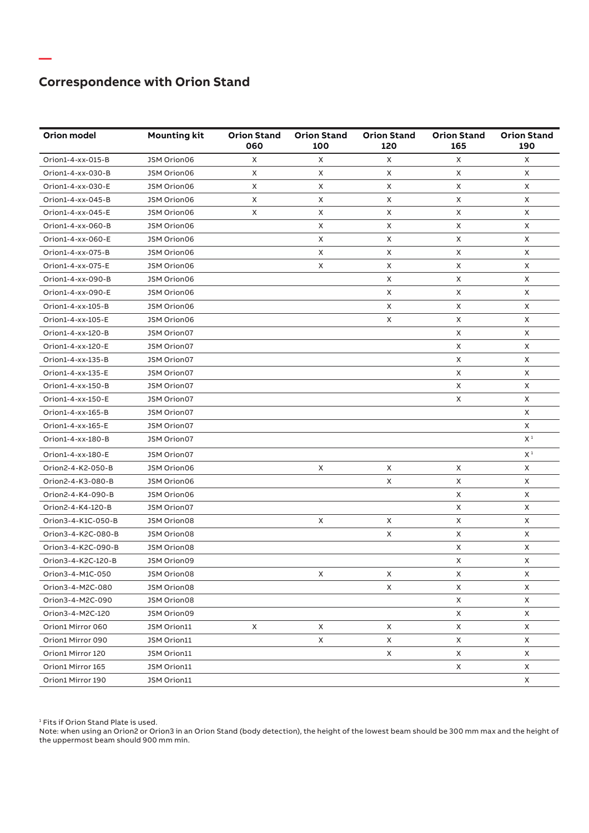## **Correspondence with Orion Stand**

**—**

| Orion model        | <b>Mounting kit</b> | <b>Orion Stand</b><br>060 | <b>Orion Stand</b><br>100 | <b>Orion Stand</b><br>120 | <b>Orion Stand</b><br>165 | <b>Orion Stand</b><br>190 |
|--------------------|---------------------|---------------------------|---------------------------|---------------------------|---------------------------|---------------------------|
| Orion1-4-xx-015-B  | <b>JSM Orion06</b>  | X                         | X                         | X                         | X                         | X                         |
| Orion1-4-xx-030-B  | <b>JSM Orion06</b>  | X                         | X                         | X                         | X                         | X                         |
| Orion1-4-xx-030-E  | <b>JSM Orion06</b>  | X                         | X                         | Χ                         | Χ                         | X                         |
| Orion1-4-xx-045-B  | <b>JSM Orion06</b>  | X                         | X                         | Χ                         | Χ                         | X                         |
| Orion1-4-xx-045-E  | <b>JSM Orion06</b>  | Χ                         | X                         | X                         | X                         | X                         |
| Orion1-4-xx-060-B  | <b>JSM Orion06</b>  |                           | X                         | Χ                         | X                         | X                         |
| Orion1-4-xx-060-E  | <b>JSM Orion06</b>  |                           | X                         | X                         | X                         | X                         |
| Orion1-4-xx-075-B  | <b>JSM Orion06</b>  |                           | X                         | X                         | X                         | X                         |
| Orion1-4-xx-075-E  | <b>JSM Orion06</b>  |                           | X                         | Χ                         | Χ                         | X                         |
| Orion1-4-xx-090-B  | <b>JSM Orion06</b>  |                           |                           | X                         | X                         | X                         |
| Orion1-4-xx-090-E  | <b>JSM Orion06</b>  |                           |                           | X                         | X                         | X                         |
| Orion1-4-xx-105-B  | <b>JSM Orion06</b>  |                           |                           | X                         | X                         | X                         |
| Orion1-4-xx-105-E  | <b>JSM Orion06</b>  |                           |                           | Χ                         | X                         | X                         |
| Orion1-4-xx-120-B  | <b>JSM Orion07</b>  |                           |                           |                           | Χ                         | X                         |
| Orion1-4-xx-120-E  | <b>JSM Orion07</b>  |                           |                           |                           | X                         | X                         |
| Orion1-4-xx-135-B  | JSM Orion07         |                           |                           |                           | Χ                         | X                         |
| Orion1-4-xx-135-E  | <b>JSM Orion07</b>  |                           |                           |                           | Χ                         | X                         |
| Orion1-4-xx-150-B  | <b>JSM Orion07</b>  |                           |                           |                           | X                         | X                         |
| Orion1-4-xx-150-E  | <b>JSM Orion07</b>  |                           |                           |                           | X                         | X                         |
| Orion1-4-xx-165-B  | JSM Orion07         |                           |                           |                           |                           | X                         |
| Orion1-4-xx-165-E  | <b>JSM Orion07</b>  |                           |                           |                           |                           | X                         |
| Orion1-4-xx-180-B  | <b>JSM Orion07</b>  |                           |                           |                           |                           | X <sup>1</sup>            |
| Orion1-4-xx-180-E  | <b>JSM Orion07</b>  |                           |                           |                           |                           | X <sup>1</sup>            |
| Orion2-4-K2-050-B  | <b>JSM Orion06</b>  |                           | X                         | X                         | X                         | X                         |
| Orion2-4-K3-080-B  | <b>JSM Orion06</b>  |                           |                           | X                         | X                         | X                         |
| Orion2-4-K4-090-B  | <b>JSM Orion06</b>  |                           |                           |                           | Χ                         | X                         |
| Orion2-4-K4-120-B  | JSM Orion07         |                           |                           |                           | X                         | X                         |
| Orion3-4-K1C-050-B | <b>JSM Orion08</b>  |                           | X                         | X                         | X                         | X                         |
| Orion3-4-K2C-080-B | <b>JSM Orion08</b>  |                           |                           | X                         | X                         | X                         |
| Orion3-4-K2C-090-B | <b>JSM Orion08</b>  |                           |                           |                           | X                         | X                         |
| Orion3-4-K2C-120-B | JSM Orion09         |                           |                           |                           | X                         | X                         |
| Orion3-4-M1C-050   | JSM Orion08         |                           | X                         | X                         | X                         | Χ                         |
| Orion3-4-M2C-080   | <b>JSM Orion08</b>  |                           |                           | X                         | X                         | X                         |
| Orion3-4-M2C-090   | JSM Orion08         |                           |                           |                           | X                         | X                         |
| Orion3-4-M2C-120   | JSM Orion09         |                           |                           |                           | X                         | X                         |
| Orion1 Mirror 060  | JSM Orion11         | X                         | X                         | X                         | X                         | X                         |
| Orion1 Mirror 090  | JSM Orion11         |                           | X                         | X                         | X                         | X                         |
| Orion1 Mirror 120  | JSM Orion11         |                           |                           | X                         | X                         | X                         |
| Orion1 Mirror 165  | JSM Orion11         |                           |                           |                           | X                         | X                         |
| Orion1 Mirror 190  | JSM Orion11         |                           |                           |                           |                           | X                         |

1 Fits if Orion Stand Plate is used.

Note: when using an Orion2 or Orion3 in an Orion Stand (body detection), the height of the lowest beam should be 300 mm max and the height of the uppermost beam should 900 mm min.